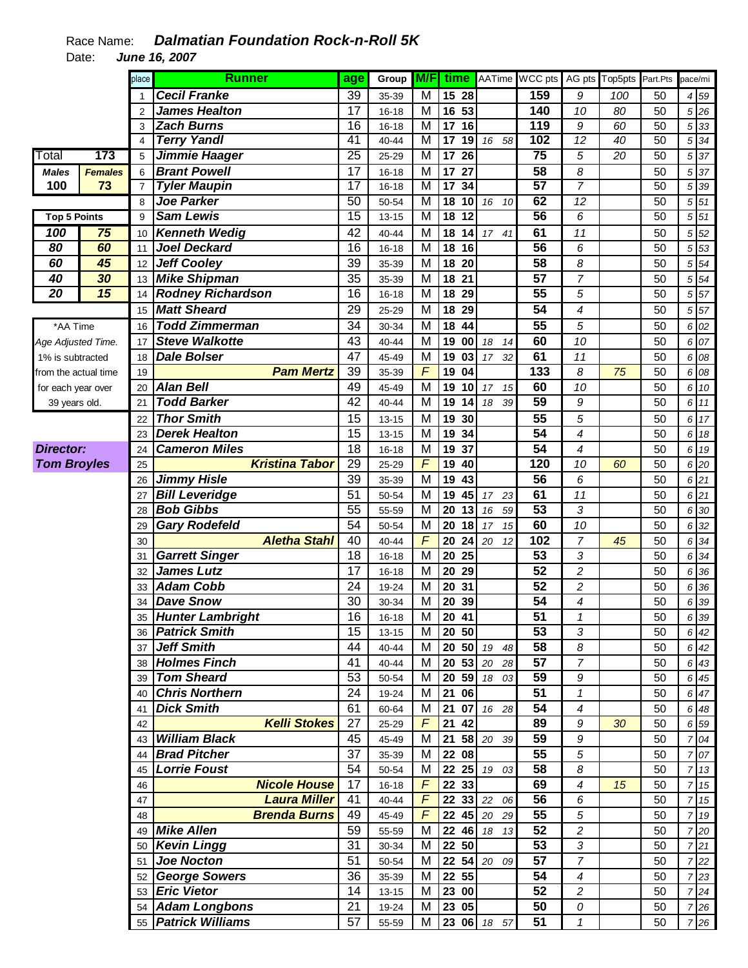|                      |                | place          | <b>Runner</b>              | age             | Group     |   |                    |                       | <b>M/F</b> time AATime WCC pts |                  | AG pts Top5pts Part.Pts |                 | pace/mi |                                 |
|----------------------|----------------|----------------|----------------------------|-----------------|-----------|---|--------------------|-----------------------|--------------------------------|------------------|-------------------------|-----------------|---------|---------------------------------|
|                      |                |                | <b>Cecil Franke</b>        | 39              | 35-39     | M | $\overline{15}$ 28 |                       | 159                            | 9                | 100                     | 50              |         | 4 59                            |
|                      |                | $\overline{2}$ | <b>James Healton</b>       | 17              | $16 - 18$ | м | 16 53              |                       | 140                            | 10               | 80                      | 50              |         | 5 26                            |
|                      |                | 3              | <b>Zach Burns</b>          | 16              | $16 - 18$ | M | 17 16              |                       | 119                            | 9                | 60                      | 50              |         | 533                             |
|                      |                | $\overline{4}$ | <b>Terry Yandl</b>         | 41              | 40-44     | M | 17 19              | 16 58                 | 102                            | $\overline{12}$  | 40                      | 50              |         | $5\overline{34}$                |
| Total                | 173            | 5              | Jimmie Haager              | 25              | 25-29     | M | $\overline{17}$ 26 |                       | 75                             | 5                | $\overline{20}$         | 50              |         | $5\overline{37}$                |
| <b>Males</b>         | <b>Females</b> | 6              | <b>Brant Powell</b>        | 17              | $16 - 18$ | M | 17 27              |                       | $\overline{58}$                | 8                |                         | 50              |         | 5 37                            |
| 100                  | 73             | $\overline{7}$ | <b>Tyler Maupin</b>        | 17              | $16 - 18$ | M | 17 34              |                       | 57                             | $\overline{7}$   |                         | $\overline{50}$ |         | 5 39                            |
|                      |                | 8              | <b>Joe Parker</b>          | 50              | 50-54     | M | 18 10              | 16<br>10              | 62                             | 12               |                         | 50              |         | 5 51                            |
| <b>Top 5 Points</b>  |                | 9              | <b>Sam Lewis</b>           | $\overline{15}$ | $13 - 15$ | M | 18 12              |                       | 56                             | 6                |                         | 50              |         | $5\overline{51}$                |
| 100                  | 75             | 10             | <b>Kenneth Wedig</b>       | 42              | 40-44     | M | 18 14              | 17 <sup>7</sup><br>41 | 61                             | 11               |                         | 50              | 5       | 52                              |
| 80                   | 60             | 11             | Joel Deckard               | 16              | $16 - 18$ | M | 18 16              |                       | $\overline{56}$                | 6                |                         | 50              |         | 5 53                            |
| 60                   | 45             | 12             | <b>Jeff Cooley</b>         | 39              | 35-39     | M | 18 20              |                       | 58                             | 8                |                         | 50              |         | $5\overline{54}$                |
| 40                   | 30             | 13             | <b>Mike Shipman</b>        | 35              | 35-39     | M | 18 21              |                       | $\overline{57}$                | $\overline{7}$   |                         | 50              | 5       | 54                              |
| 20                   | 15             | 14             | <b>Rodney Richardson</b>   | 16              | $16 - 18$ | M | 18 29              |                       | 55                             | 5                |                         | 50              |         | 5 57                            |
|                      |                | 15             | <b>Matt Sheard</b>         | 29              | 25-29     | M | 18 29              |                       | 54                             | 4                |                         | 50              |         | $5\,57$                         |
| *AA Time             |                | 16             | <b>Todd Zimmerman</b>      | 34              | 30-34     | M | 18 44              |                       | 55                             | 5                |                         | 50              |         | 6 02                            |
| Age Adjusted Time.   |                | 17             | <b>Steve Walkotte</b>      | 43              | 40-44     | M | 19 00              | 18<br>14              | 60                             | 10               |                         | 50              |         | 6 07                            |
| 1% is subtracted     |                | 18             | <b>Dale Bolser</b>         | 47              | 45-49     | M | 19 03              | 32<br>17              | 61                             | 11               |                         | 50              |         | 6 08                            |
| from the actual time |                | 19             | <b>Pam Mertz</b>           | 39              | 35-39     | F | 19 04              |                       | 133                            | 8                | 75                      | 50              |         | 6 08                            |
| for each year over   |                | 20             | <b>Alan Bell</b>           | 49              | 45-49     | M | 19 10              | 15<br>17              | 60                             | 10               |                         | 50              |         | 6 10                            |
| 39 years old.        |                | 21             | <b>Todd Barker</b>         | 42              | 40-44     | M | 19 14              | 18<br>39              | 59                             | 9                |                         | 50              |         | 6 11                            |
|                      |                | 22             | <b>Thor Smith</b>          | 15              | $13 - 15$ | M | 19 30              |                       | 55                             | 5                |                         | 50              |         | 6 17                            |
|                      |                | 23             | <b>Derek Healton</b>       | 15              | $13 - 15$ | M | 19 34              |                       | 54                             | 4                |                         | 50              |         | 6 18                            |
| <b>Director:</b>     |                | 24             | <b>Cameron Miles</b>       | 18              | 16-18     | M | 19 37              |                       | 54                             | 4                |                         | 50              |         | 6 19                            |
| <b>Tom Broyles</b>   |                | 25             | <b>Kristina Tabor</b>      | 29              | 25-29     | F | 19 40              |                       | 120                            | 10               | 60                      | 50              |         | 6 20                            |
|                      |                | 26             | <b>Jimmy Hisle</b>         | 39              | 35-39     | M | 19 43              |                       | 56                             | 6                |                         | 50              |         | 621                             |
|                      |                | 27             | <b>Bill Leveridge</b>      | 51              | 50-54     | M | 45<br>19           | 23<br>17              | 61                             | 11               |                         | 50              |         | 621                             |
|                      |                | 28             | <b>Bob Gibbs</b>           | 55              | 55-59     | M | 20 13              | 59<br>16              | $\overline{53}$                | 3                |                         | 50              |         | 6 30                            |
|                      |                | 29             | <b>Gary Rodefeld</b>       | 54              | 50-54     | M | 20<br>18           | 15<br>17              | 60                             | 10               |                         | 50              | 6       | 32                              |
|                      |                | 30             | <b>Aletha Stahl</b>        | 40              | 40-44     | F | 20<br>24           | 20<br>12              | 102                            | $\overline{7}$   | 45                      | 50              | 6       | 34                              |
|                      |                | 31             | <b>Garrett Singer</b>      | 18              | $16 - 18$ | M | 20 25              |                       | 53                             | 3                |                         | 50              | 6       | 34                              |
|                      |                | 32             | James Lutz                 | 17              | $16 - 18$ | M | 20 29              |                       | $\overline{52}$                | $\boldsymbol{2}$ |                         | 50              | 6       | 36                              |
|                      |                | 33             | <b>Adam Cobb</b>           | 24              | 19-24     | M | 20 31              |                       | $\overline{52}$                | $\overline{c}$   |                         | 50              | 6       | 36                              |
|                      |                | 34             | <b>Dave Snow</b>           | 30              | 30-34     | M | 20 39              |                       | 54                             | 4                |                         | 50              | 6       | 39                              |
|                      |                | 35             | Hunter Lambright           | 16              | $16 - 18$ | M | 20 41              |                       | $\overline{51}$                | 1                |                         | 50              |         | 6 39                            |
|                      |                |                | 36 <b>Patrick Smith</b>    | 15              | $13 - 15$ | M | 20 50              |                       | 53                             | 3                |                         | 50              |         | 6 42                            |
|                      |                |                | 37 Jeff Smith              | 44              | 40-44     | M | 20 50              | 19<br>48              | 58                             | 8                |                         | 50              |         | 6 42                            |
|                      |                |                | 38 Holmes Finch            | 41              | 40-44     | M | <b>20 53 20</b>    | 28                    | 57                             | $\overline{7}$   |                         | 50              |         | 6 43                            |
|                      |                | 39             | <b>Tom Sheard</b>          | 53              | 50-54     | M |                    | 20 59 18 03           | 59                             | $\boldsymbol{9}$ |                         | 50              |         | 6 45                            |
|                      |                | 40             | <b>Chris Northern</b>      | 24              | 19-24     | м | 21 06              |                       | 51                             | $\mathbf{1}$     |                         | 50              |         | 6 47                            |
|                      |                | 41             | <b>Dick Smith</b>          | 61              | 60-64     | M | 21 07              | 16 28                 | 54                             | 4                |                         | 50              |         | 6 48                            |
|                      |                | 42             | <b>Kelli Stokes</b>        | 27              | 25-29     | F | 21 42              |                       | 89                             | $\boldsymbol{9}$ | 30                      | 50              |         | 6 59                            |
|                      |                | 43             | <b>William Black</b>       | 45              | 45-49     | M |                    | 21 58 20 39           | 59                             | 9                |                         | 50              |         | 7 04                            |
|                      |                | 44             | <b>Brad Pitcher</b>        | 37              | 35-39     | M | 22 08              |                       | 55                             | 5                |                         | 50              |         | 7 07                            |
|                      |                | 45             | <b>Lorrie Foust</b>        | 54              | 50-54     | M | 22 25              | 19 03                 | 58                             | 8                |                         | 50              |         | 7 13                            |
|                      |                | 46             | <b>Nicole House</b>        | 17              | 16-18     | F | 22 33              |                       | 69                             | $\boldsymbol{4}$ | 15                      | 50              |         | 7 15                            |
|                      |                | 47             | <b>Laura Miller</b>        | 41              | 40-44     | F | 22 33              | 22<br>06              | 56                             | 6                |                         | 50              |         | 7 15                            |
|                      |                | 48             | <b>Brenda Burns</b>        | 49              | 45-49     | F | 22 45              | 20<br>29              | 55                             | 5                |                         | 50              |         | 7 19                            |
|                      |                | 49             | <b>Mike Allen</b>          | 59              | 55-59     | M | 22 46              | 18<br>13              | 52                             | $\boldsymbol{2}$ |                         | 50              |         | 7 20                            |
|                      |                | 50             | <b>Kevin Lingg</b>         | 31              | 30-34     | M | 22 50              |                       | 53                             | 3                |                         | 50              |         | 721                             |
|                      |                |                | 51 Joe Nocton              | 51              | 50-54     | M | 22 54              | 20 09                 | 57                             | $\overline{7}$   |                         | 50              |         | 7 22                            |
|                      |                |                | 52 George Sowers           | 36              | 35-39     | м | 22 55              |                       | 54                             | $\overline{4}$   |                         | 50              |         | $7\overline{\smash{\big)}\ 23}$ |
|                      |                |                | 53 Eric Vietor             | 14              | 13-15     | м | 23 00              |                       | $\overline{52}$                | $\overline{c}$   |                         | 50              |         | $7 \overline{\smash{\big)} 24}$ |
|                      |                |                | 54 Adam Longbons           | 21              | 19-24     | м | 23 05              |                       | 50                             | ${\cal O}$       |                         | 50              |         | 7 26                            |
|                      |                |                | 55 <b>Patrick Williams</b> | 57              | 55-59     | М |                    | 23 06 18 57           | 51                             | $\mathbf{1}$     |                         | 50              |         | 7 26                            |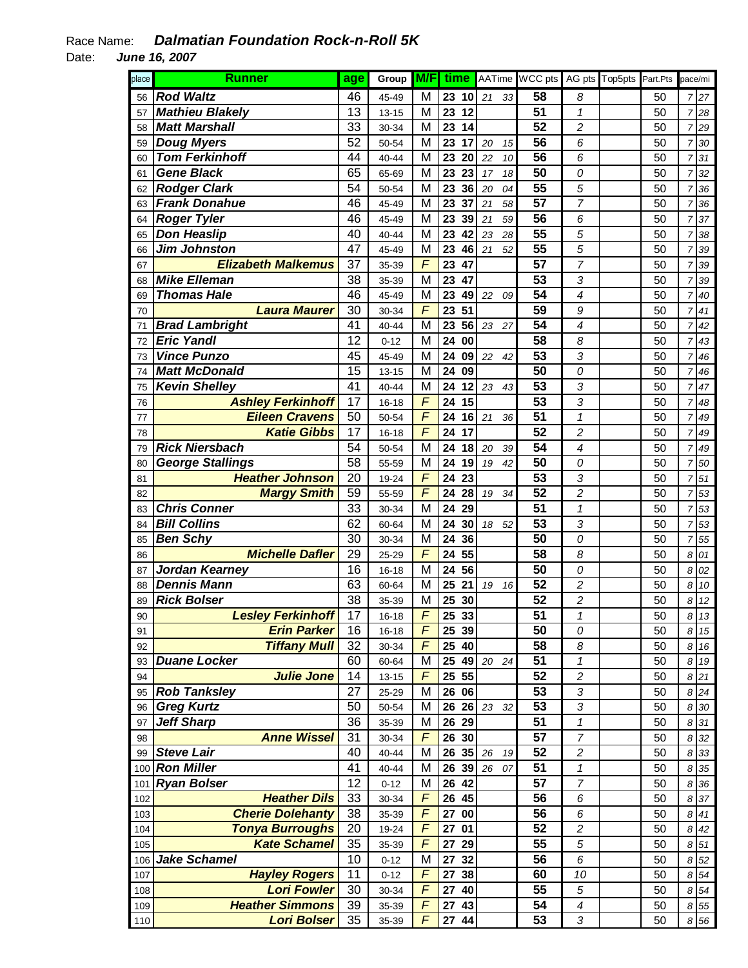| place | <b>Runner</b>             |    | Group     | M/F                      |                 |                    |    |    | time AATime WCC pts |                         | AG pts Top5pts | Part.Pts |                | pace/mi |
|-------|---------------------------|----|-----------|--------------------------|-----------------|--------------------|----|----|---------------------|-------------------------|----------------|----------|----------------|---------|
| 56    | <b>Rod Waltz</b>          |    | 45-49     | M                        | 23              | 10                 | 21 | 33 | 58                  | 8                       |                | 50       | 7              | 27      |
| 57    | <b>Mathieu Blakely</b>    |    | $13 - 15$ | M                        | 23              | 12                 |    |    | $\overline{51}$     | $\mathcal I$            |                | 50       | $\overline{7}$ | 28      |
| 58    | <b>Matt Marshall</b>      |    | 30-34     | M                        | 23              | 14                 |    |    | 52                  | 2                       |                | 50       | $\overline{7}$ | 29      |
| 59    | <b>Doug Myers</b>         |    | 50-54     | M                        | 23              | 17                 | 20 | 15 | 56                  | 6                       |                | 50       | 7              | 30      |
| 60    | <b>Tom Ferkinhoff</b>     |    | 40-44     | M                        | 23              | 20                 | 22 | 10 | $\overline{56}$     | 6                       |                | 50       | 7              | 31      |
| 61    | <b>Gene Black</b>         |    | 65-69     | M                        | 23              | 23                 | 17 | 18 | 50                  | 0                       |                | 50       | $\overline{7}$ | 32      |
| 62    | <b>Rodger Clark</b>       | 54 | 50-54     | M                        | 23              | 36                 | 20 | 04 | $\overline{55}$     | 5                       |                | 50       | 7              | 36      |
| 63    | <b>Frank Donahue</b>      | 46 | 45-49     | М                        | 23              | 37                 | 21 | 58 | $\overline{57}$     | 7                       |                | 50       | 7              | 36      |
| 64    | <b>Roger Tyler</b>        | 46 | 45-49     | М                        | 23              | 39                 | 21 | 59 | $\overline{56}$     | 6                       |                | 50       | 7              | 37      |
| 65    | <b>Don Heaslip</b>        | 40 | 40-44     | M                        | 23              | 42                 | 23 | 28 | $\overline{55}$     | 5                       |                | 50       | 7              | 38      |
| 66    | <b>Jim Johnston</b>       | 47 | 45-49     | M                        | 23              | 46                 | 21 | 52 | $\overline{55}$     | 5                       |                | 50       | $\overline{7}$ | 39      |
| 67    | <b>Elizabeth Malkemus</b> | 37 | 35-39     | $\overline{F}$           | 23              | 47                 |    |    | 57                  | 7                       |                | 50       | $\overline{7}$ | 39      |
| 68    | <b>Mike Elleman</b>       | 38 | 35-39     | M                        | 23              | 47                 |    |    | 53                  | 3                       |                | 50       | 7              | 39      |
| 69    | <b>Thomas Hale</b>        | 46 | 45-49     | M                        | 23              | 49                 | 22 | 09 | 54                  | 4                       |                | 50       | 7              | 40      |
| 70    | <b>Laura Maurer</b>       | 30 | 30-34     | $\overline{F}$           | 23              | 51                 |    |    | 59                  | 9                       |                | 50       | $\overline{7}$ | 41      |
| 71    | <b>Brad Lambright</b>     | 41 | 40-44     | M                        | 23              | 56                 | 23 | 27 | 54                  | 4                       |                | 50       | $\overline{7}$ | 42      |
| 72    | <b>Eric Yandl</b>         | 12 | $0 - 12$  | M                        | 24              | 00                 |    |    | 58                  | 8                       |                | 50       | 7              | 43      |
| 73    | <b>Vince Punzo</b>        | 45 | 45-49     | M                        | 24              | 09                 | 22 | 42 | 53                  | 3                       |                | 50       | $\overline{7}$ | 46      |
| 74    | <b>Matt McDonald</b>      | 15 | $13 - 15$ | M                        | 24              | 09                 |    |    | 50                  | 0                       |                | 50       | $\overline{7}$ | 46      |
| 75    | <b>Kevin Shelley</b>      | 41 | 40-44     | M                        | 24              | 12                 | 23 | 43 | $\overline{53}$     | 3                       |                | 50       | 7              | 47      |
| 76    | <b>Ashley Ferkinhoff</b>  | 17 | $16 - 18$ | F                        | 24              | 15                 |    |    | 53                  | 3                       |                | 50       | 7              | 48      |
| 77    | <b>Eileen Cravens</b>     | 50 | 50-54     | $\overline{F}$           | 24              | 16                 | 21 | 36 | 51                  | $\mathcal I$            |                | 50       | 7              | 49      |
| 78    | <b>Katie Gibbs</b>        | 17 | $16 - 18$ | $\overline{F}$           | 24              | 17                 |    |    | 52                  | $\overline{c}$          |                | 50       | $\overline{7}$ | 49      |
| 79    | <b>Rick Niersbach</b>     | 54 | 50-54     | M                        | 24              | 18                 | 20 | 39 | 54                  | 4                       |                | 50       | $\overline{7}$ | 49      |
| 80    | <b>George Stallings</b>   | 58 | 55-59     | M                        | 24              | 19                 | 19 | 42 | 50                  | 0                       |                | 50       | $\overline{7}$ | 50      |
| 81    | <b>Heather Johnson</b>    | 20 | 19-24     | $\overline{\mathcal{F}}$ | 24              | 23                 |    |    | $\overline{53}$     | 3                       |                | 50       | $\overline{7}$ | 51      |
| 82    | <b>Margy Smith</b>        | 59 | 55-59     | $\overline{\mathcal{F}}$ | 24              | 28                 | 19 | 34 | 52                  | $\overline{c}$          |                | 50       | $\overline{7}$ | 53      |
| 83    | <b>Chris Conner</b>       | 33 | 30-34     | M                        | 24              | 29                 |    |    | 51                  | $\mathcal I$            |                | 50       | $\overline{7}$ | 53      |
| 84    | <b>Bill Collins</b>       | 62 | 60-64     | M                        | 24              | 30                 | 18 | 52 | 53                  | 3                       |                | 50       | 7              | 53      |
| 85    | <b>Ben Schy</b>           | 30 | 30-34     | M                        | 24              | 36                 |    |    | 50                  | 0                       |                | 50       | 7              | 55      |
| 86    | <b>Michelle Dafler</b>    | 29 | 25-29     | F                        | 24              | 55                 |    |    | 58                  | 8                       |                | 50       | 8              | 01      |
| 87    | Jordan Kearney            | 16 | $16 - 18$ | M                        | 24              | 56                 |    |    | 50                  | 0                       |                | 50       | 8              | 02      |
| 88    | <b>Dennis Mann</b>        | 63 | 60-64     | М                        | 25              | 21                 | 19 | 16 | 52                  | $\overline{\mathbf{c}}$ |                | 50       | 8              | 10      |
| 89    | <b>Rick Bolser</b>        | 38 | 35-39     | М                        | 25              | 30                 |    |    | 52                  | 2                       |                | 50       | 8              | 12      |
| 90    | <b>Lesley Ferkinhoff</b>  | 17 | $16 - 18$ | $\overline{F}$           | $\overline{25}$ | 33                 |    |    | $\overline{51}$     | $\mathbf{1}$            |                | 50       |                | 8 13    |
| 91    | <b>Erin Parker</b>        | 16 | 16-18     | F                        |                 | 25 39              |    |    | 50                  | 0                       |                | 50       |                | 8 15    |
| 92    | <b>Tiffany Mull</b>       | 32 | 30-34     | F                        | 25              | 40                 |    |    | 58                  | 8                       |                | 50       |                | 8 16    |
| 93    | <b>Duane Locker</b>       | 60 | 60-64     | M                        | 25              | 49                 | 20 | 24 | 51                  | $\mathcal I$            |                | 50       |                | 8 19    |
| 94    | <b>Julie Jone</b>         | 14 | 13-15     | $\overline{F}$           |                 | 25 55              |    |    | 52                  | $\overline{c}$          |                | 50       |                | 8 21    |
| 95    | <b>Rob Tanksley</b>       | 27 | 25-29     | M                        |                 | 26 06              |    |    | 53                  | 3                       |                | 50       |                | 8 24    |
| 96    | <b>Greg Kurtz</b>         | 50 | 50-54     | M                        |                 | $\overline{26}$ 26 | 23 | 32 | 53                  | 3                       |                | 50       |                | 8 30    |
| 97    | <b>Jeff Sharp</b>         | 36 | 35-39     | M                        |                 | 26 29              |    |    | 51                  | $\mathcal I$            |                | 50       | 8              | 31      |
| 98    | <b>Anne Wissel</b>        | 31 | 30-34     | F                        |                 | 26 30              |    |    | 57                  | 7                       |                | 50       |                | 8 32    |
| 99    | <b>Steve Lair</b>         | 40 | 40-44     | M                        |                 | 26 35              | 26 | 19 | 52                  | 2                       |                | 50       |                | 8 33    |
| 100   | <b>Ron Miller</b>         | 41 | 40-44     | М                        | 26              | 39                 | 26 | 07 | 51                  | 1                       |                | 50       | 8              | 35      |
| 101   | <b>Ryan Bolser</b>        | 12 | $0 - 12$  | М                        | 26              | 42                 |    |    | 57                  | 7                       |                | 50       | 8              | 36      |
| 102   | <b>Heather Dils</b>       | 33 | 30-34     | F                        |                 | 26 45              |    |    | 56                  | 6                       |                | 50       | 8              | 37      |
| 103   | <b>Cherie Dolehanty</b>   | 38 | 35-39     | F                        | 27              | 00                 |    |    | 56                  | 6                       |                | 50       | 8              | 41      |
| 104   | <b>Tonya Burroughs</b>    | 20 | 19-24     | F                        | 27              | 01                 |    |    | 52                  | $\overline{\mathbf{c}}$ |                | 50       |                | 8 42    |
| 105   | <b>Kate Schamel</b>       | 35 | 35-39     | $\overline{F}$           | 27              | 29                 |    |    | 55                  | 5                       |                | 50       |                | 8 51    |
| 106   | <b>Jake Schamel</b>       | 10 | $0 - 12$  | M                        | 27              | 32                 |    |    | 56                  | 6                       |                | 50       |                | 8 52    |
| 107   | <b>Hayley Rogers</b>      | 11 | $0 - 12$  | $\overline{F}$           | 27              | 38                 |    |    | 60                  | 10                      |                | 50       |                | 8 54    |
| 108   | <b>Lori Fowler</b>        | 30 | 30-34     | $\overline{F}$           | 27              | 40                 |    |    | 55                  | 5                       |                | 50       |                | 8 54    |
| 109   | <b>Heather Simmons</b>    | 39 | 35-39     | $\overline{F}$           |                 | 27 43              |    |    | 54                  | 4                       |                | 50       |                | 8 55    |
| 110   | <b>Lori Bolser</b>        | 35 | 35-39     | F                        |                 | 27 44              |    |    | 53                  | 3                       |                | 50       |                | 8 5 6   |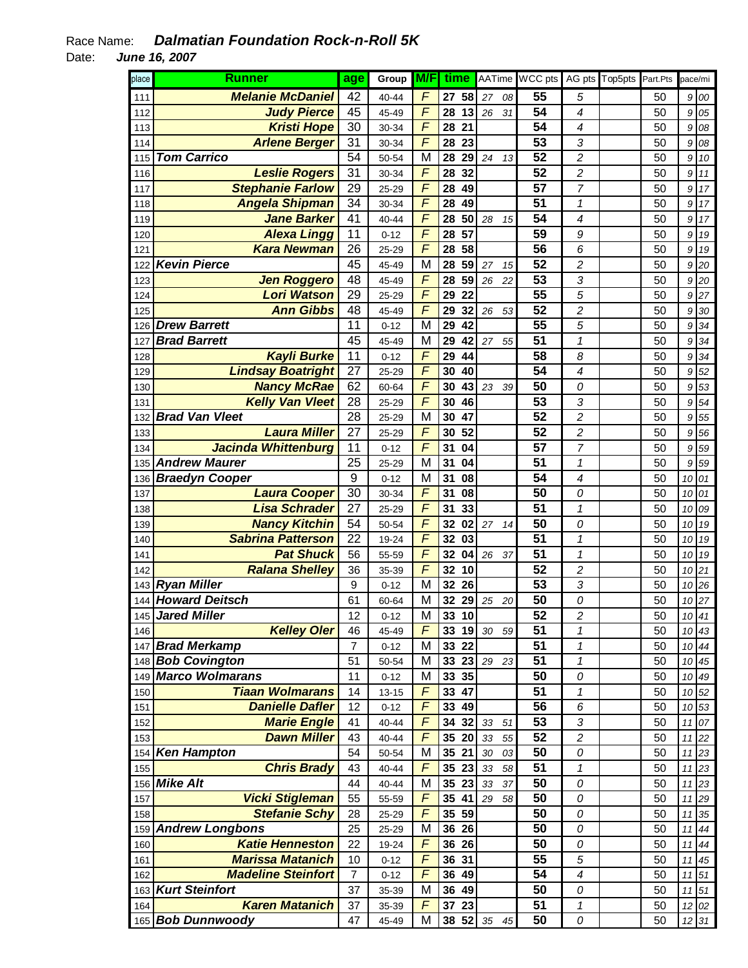| place | <b>Runner</b>                            | age              | Group             | M/F                          |          | time     | AATime |    | WCC pts  |                              | AG pts Top5pts | Part Pts |          | pace/mi  |
|-------|------------------------------------------|------------------|-------------------|------------------------------|----------|----------|--------|----|----------|------------------------------|----------------|----------|----------|----------|
| 111   | <b>Melanie McDaniel</b>                  | 42               | 40-44             | F                            | 27       | 58       | 27     | 08 | 55       | 5                            |                | 50       | 9        | 00       |
| 112   | <b>Judy Pierce</b>                       | 45               | 45-49             | F                            | 28       | 13       | 26     | 31 | 54       | 4                            |                | 50       | 9        | 05       |
| 113   | <b>Kristi Hope</b>                       | 30               | 30-34             | $\overline{\mathsf{F}}$      | 28       | 21       |        |    | 54       | 4                            |                | 50       | 9        | 08       |
| 114   | <b>Arlene Berger</b>                     | 31               | 30-34             | $\overline{\digamma}$        | 28       | 23       |        |    | 53       | 3                            |                | 50       | 9        | 08       |
| 115   | <b>Tom Carrico</b>                       | 54               | 50-54             | M                            | 28       | 29       | 24     | 13 | 52       | $\overline{c}$               |                | 50       | 9        | 10       |
| 116   | <b>Leslie Rogers</b>                     | 31               | 30-34             | F                            | 28       | 32       |        |    | 52       | $\overline{c}$               |                | 50       | 9        | 11       |
| 117   | <b>Stephanie Farlow</b>                  | 29               | 25-29             | $\overline{\mathsf{F}}$      | 28       | 49       |        |    | 57       | $\overline{7}$               |                | 50       | 9        | 17       |
| 118   | <b>Angela Shipman</b>                    | 34               | 30-34             | F                            | 28       | 49       |        |    | 51       | $\mathcal I$                 |                | 50       | 9        | 17       |
| 119   | <b>Jane Barker</b>                       | 41               | 40-44             | F                            | 28       | 50       | 28     | 15 | 54       | 4                            |                | 50       | 9        | 17       |
| 120   | <b>Alexa Lingg</b>                       | 11               | $0 - 12$          | $\overline{\mathsf{F}}$      | 28       | 57       |        |    | 59       | 9                            |                | 50       | 9        | 19       |
| 121   | <b>Kara Newman</b>                       | 26               | 25-29             | F                            | 28       | 58       |        |    | 56       | 6                            |                | 50       | 9        | 19       |
| 122   | <b>Kevin Pierce</b>                      | 45               | 45-49             | М                            | 28       | 59       | 27     | 15 | 52       | 2                            |                | 50       | 9        | 20       |
| 123   | <b>Jen Roggero</b>                       | 48               | 45-49             | F                            | 28       | 59       | 26     | 22 | 53       | 3                            |                | 50       | 9        | 20       |
| 124   | <b>Lori Watson</b>                       | 29               | 25-29             | F                            | 29       | 22       |        |    | 55       | 5                            |                | 50       | 9        | 27       |
| 125   | <b>Ann Gibbs</b>                         | 48               | 45-49             | F                            | 29       | 32       | 26     | 53 | 52       | $\overline{c}$               |                | 50       | 9        | 30       |
| 126   | <b>Drew Barrett</b>                      | 11               | $0 - 12$          | M                            | 29       | 42       |        |    | 55       | 5                            |                | 50       | 9        | 34       |
| 127   | <b>Brad Barrett</b>                      | 45               | 45-49             | M                            | 29       | 42       | 27     | 55 | 51       | $\mathbf 1$                  |                | 50       | 9        | 34       |
| 128   | <b>Kayli Burke</b>                       | 11               | $0 - 12$          | F                            | 29       | 44       |        |    | 58       | 8                            |                | 50       | 9        | 34       |
| 129   | <b>Lindsay Boatright</b>                 | 27               | 25-29             | $\overline{\mathsf{F}}$      | 30       | 40       |        |    | 54       | 4                            |                | 50       | 9        | 52       |
| 130   | <b>Nancy McRae</b>                       | 62               | 60-64             | F                            | 30       | 43       | 23     | 39 | 50       | 0                            |                | 50       | 9        | 53       |
| 131   | <b>Kelly Van Vleet</b>                   | 28               | 25-29             | F                            | 30       | 46       |        |    | 53       | 3                            |                | 50       | 9        | 54       |
| 132   | <b>Brad Van Vleet</b>                    | 28               | 25-29             | M                            | 30       | 47       |        |    | 52       | $\overline{\mathbf{c}}$      |                | 50       | 9        | 55       |
| 133   | <b>Laura Miller</b>                      | 27               | 25-29             | F                            | 30       | 52       |        |    | 52       | $\overline{c}$               |                | 50       | 9        | 56       |
| 134   | Jacinda Whittenburg                      | 11               | $0 - 12$          | F                            | 31       | 04       |        |    | 57       | 7                            |                | 50       | 9        | 59       |
| 135   | <b>Andrew Maurer</b>                     | 25               | 25-29             | М                            | 31       | 04       |        |    | 51       | 1                            |                | 50       | 9        | 59       |
| 136   | <b>Braedyn Cooper</b>                    | 9                | $0 - 12$          | M                            | 31       | 08       |        |    | 54       | 4                            |                | 50       | 10       | 01       |
| 137   | <b>Laura Cooper</b>                      | 30               | 30-34             | F                            | 31       | 08       |        |    | 50       | 0                            |                | 50       | 10       | 01       |
| 138   | <b>Lisa Schrader</b>                     | 27               | 25-29             | $\overline{\mathsf{F}}$      | 31       | 33       |        |    | 51       | $\mathcal I$                 |                | 50       | 10       | 09       |
| 139   | <b>Nancy Kitchin</b>                     | 54               | 50-54             | F                            | 32       | 02       | 27     | 14 | 50       | 0                            |                | 50       | 10       | 19       |
| 140   | <b>Sabrina Patterson</b>                 | 22               | 19-24             | F                            | 32       | 03       |        |    | 51       | $\mathbf 1$                  |                | 50       | 10       | 19       |
| 141   | <b>Pat Shuck</b>                         | 56               | 55-59             | F<br>$\overline{\mathsf{F}}$ | 32       | 04       | 26     | 37 | 51       | 1                            |                | 50       | 10       | 19       |
| 142   | <b>Ralana Shelley</b><br>143 Ryan Miller | 36               | 35-39             | M                            | 32       | 10       |        |    | 52<br>53 | $\overline{c}$               |                | 50       | 10       | 21       |
|       | <b>Howard Deitsch</b>                    | $\boldsymbol{9}$ | $0 - 12$          | M                            | 32<br>32 | 26<br>29 |        |    | 50       | 3                            |                | 50<br>50 | 10       | 26<br>27 |
| 144   | 145 Jared Miller                         | 61               | 60-64             | M                            | 33       | 10       | 25     | 20 | 52       | 0<br>$\overline{\mathbf{c}}$ |                | 50       | 10       | 10 41    |
| 146   | <b>Kelley Oler</b>                       | 12<br>46         | $0 - 12$          | F                            | 33       | 19       | $30\,$ | 59 | 51       | $\mathcal I$                 |                | 50       |          |          |
| 147   | <b>Brad Merkamp</b>                      | 7                | 45-49<br>$0 - 12$ | M                            | 33       | 22       |        |    | 51       | 1                            |                | 50       | 10<br>10 | 43<br>44 |
|       | 148 <b>Bob Covington</b>                 | 51               | 50-54             | M                            | 33       | 23       | 29     | 23 | 51       | $\mathcal I$                 |                | 50       | 10       | 45       |
| 149   | <b>Marco Wolmarans</b>                   | 11               | $0 - 12$          | M                            | 33       | 35       |        |    | 50       | 0                            |                | 50       | 10       | 49       |
| 150   | <b>Tiaan Wolmarans</b>                   | 14               | $13 - 15$         | F                            | 33       | 47       |        |    | 51       | $\mathcal I$                 |                | 50       | 10       | 52       |
| 151   | <b>Danielle Dafler</b>                   | 12               | $0 - 12$          | F                            | 33       | 49       |        |    | 56       | 6                            |                | 50       | 10       | 53       |
| 152   | <b>Marie Engle</b>                       | 41               | 40-44             | F                            | 34       | 32       | 33     | 51 | 53       | 3                            |                | 50       | 11       | 07       |
| 153   | <b>Dawn Miller</b>                       | 43               | 40-44             | F                            | 35       | 20       | 33     | 55 | 52       | $\overline{c}$               |                | 50       | 11       | 22       |
| 154   | <b>Ken Hampton</b>                       | 54               | 50-54             | M                            | 35       | 21       | $30\,$ | 03 | 50       | 0                            |                | 50       | 11       | 23       |
| 155   | <b>Chris Brady</b>                       | 43               | 40-44             | F                            | 35       | 23       | 33     | 58 | 51       | $\mathbf 1$                  |                | 50       | $11$     | 23       |
| 156   | <b>Mike Alt</b>                          | 44               | 40-44             | M                            | 35       | 23       | 33     | 37 | 50       | 0                            |                | 50       | 11       | 23       |
| 157   | <b>Vicki Stigleman</b>                   | 55               | 55-59             | F                            | 35       | 41       | 29     | 58 | 50       | 0                            |                | 50       | $11$     | 29       |
| 158   | <b>Stefanie Schy</b>                     | 28               | 25-29             | F                            | 35       | 59       |        |    | 50       | 0                            |                | 50       | 11       | 35       |
| 159   | <b>Andrew Longbons</b>                   | 25               | 25-29             | М                            | 36       | 26       |        |    | 50       | 0                            |                | 50       | 11       | 44       |
| 160   | <b>Katie Henneston</b>                   | 22               | 19-24             | F                            | 36       | 26       |        |    | 50       | 0                            |                | 50       | 11       | 44       |
| 161   | <b>Marissa Matanich</b>                  | 10               | $0 - 12$          | F                            | 36       | 31       |        |    | 55       | 5                            |                | 50       | 11       | 45       |
| 162   | <b>Madeline Steinfort</b>                | $\overline{7}$   | $0 - 12$          | F                            | 36       | 49       |        |    | 54       | 4                            |                | 50       | 11       | 51       |
| 163   | <b>Kurt Steinfort</b>                    | 37               | 35-39             | M                            | 36       | 49       |        |    | 50       | 0                            |                | 50       | $11$     | 51       |
| 164   | <b>Karen Matanich</b>                    | 37               | 35-39             | F                            | 37       | 23       |        |    | 51       | $\boldsymbol{\mathcal{I}}$   |                | 50       |          | 12 02    |
|       | 165 Bob Dunnwoody                        | 47               | 45-49             | M                            |          | 38 52    | 35     | 45 | 50       | 0                            |                | 50       |          | 12 31    |
|       |                                          |                  |                   |                              |          |          |        |    |          |                              |                |          |          |          |